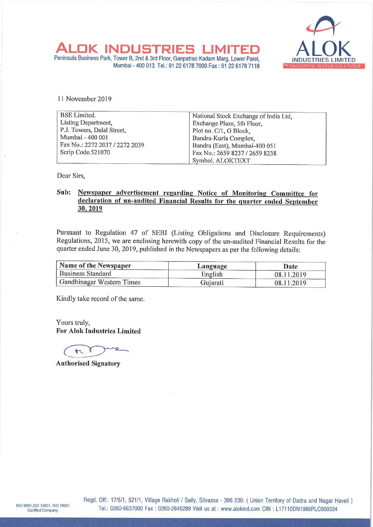

Peninsula Business Park, Tower B, 2nd & 3rd Floor; ALOK INDUSTRIES NDUSTRIES LIMITED ALOK GANTED MUSIC B, 2nd & 3rd Floor; Ganpatrao Kadam Marg, Lower Parel,<br>Mumbai - 400 013. Tel.: 91 22 6178 7000 Fax : 91 22 6178 7118 ™ INNOVATIVE TEXTILE SOLUTIONS ALOK INDUSTRIES<br>
Veninsula Business Park, Tower B, 2nd & 3rd Floor, Ganpatr<br>
Mumbai - 400 013. Tel.: 91 22 617<br>
11 November 2019

| ( INDUSTRIES L<br>Peninsula Business Park, Tower B, 2nd & 3rd Floor, Ganpatrao Kadam Marg, Lower Parel,                                                                                 |                                                              |                                     |  |
|-----------------------------------------------------------------------------------------------------------------------------------------------------------------------------------------|--------------------------------------------------------------|-------------------------------------|--|
|                                                                                                                                                                                         | Mumbai - 400 013, Tel.: 91 22 6178 7000 Fax: 91 22 6178 7118 | INDUSTRI<br><b>MINNOVATIVE TEXT</b> |  |
|                                                                                                                                                                                         |                                                              |                                     |  |
|                                                                                                                                                                                         |                                                              |                                     |  |
| 11 November 2019                                                                                                                                                                        |                                                              |                                     |  |
| <b>BSE</b> Limited.                                                                                                                                                                     | National Stock Exchange of India Ltd,                        |                                     |  |
| Listing Department,<br>P.J. Towers, Dalal Street,                                                                                                                                       | Exchange Plaza, 5th Floor,                                   |                                     |  |
| Mumbai - 400 001                                                                                                                                                                        | Plot no. C/1, G Block,<br>Bandra-Kurla Complex,              |                                     |  |
| Fax No.: 2272 2037 / 2272 2039                                                                                                                                                          | Bandra (East), Mumbai-400 051                                |                                     |  |
| Scrip Code.521070                                                                                                                                                                       |                                                              | Fax No.: 2659 8237 / 2659 8238      |  |
|                                                                                                                                                                                         | Symbol. ALOKTEXT                                             |                                     |  |
| Dear Sirs,                                                                                                                                                                              |                                                              |                                     |  |
| Sub:<br>Newspaper advertisement regarding Notice of Monitoring Committee for                                                                                                            |                                                              |                                     |  |
| declaration of un-audited Financial Results for the quarter ended September                                                                                                             |                                                              |                                     |  |
| 30, 2019                                                                                                                                                                                |                                                              |                                     |  |
|                                                                                                                                                                                         |                                                              |                                     |  |
|                                                                                                                                                                                         |                                                              |                                     |  |
| Pursuant to Regulation 47 of SEBI (Listing Obligations and Disclosure Requirements)                                                                                                     |                                                              |                                     |  |
| Regulations, 2015, we are enclosing herewith copy of the un-audited Financial Results for the<br>quarter ended June 30, 2019, published in the Newspapers as per the following details: |                                                              |                                     |  |
| Name of the Newspaper                                                                                                                                                                   | Language                                                     | Date                                |  |
| <b>Business Standard</b>                                                                                                                                                                | English                                                      | 08.11.2019                          |  |
| Gandhinagar Western Times                                                                                                                                                               | Gujarati                                                     | 08.11.2019                          |  |

## Sub: Newspaper advertisement regarding Notice of Monitoring Committee for declaration of un-audited Financial Results for the quarter ended September 30, 2019

| Name of the Newspaper     | Language | Date       |
|---------------------------|----------|------------|
| <b>Business Standard</b>  | English  | 08.11.2019 |
| Gandhinagar Western Times | Gujarati | 08.11.2019 |

Kindly take record of the same.

Yours truly, For Alok Industries Limited

 $\overline{\mathcal{F}}$ 

Authorised Signatory